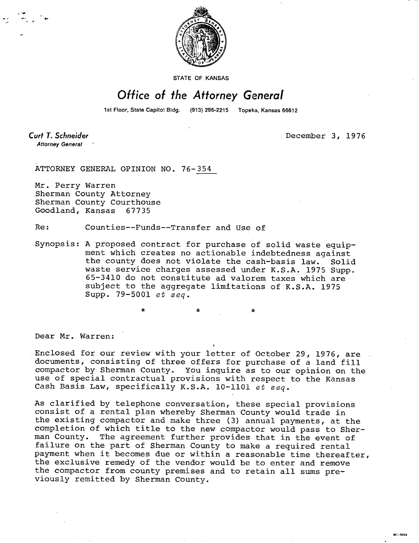

STATE OF KANSAS

## Office of the Attorney General

1st Floor, State Capitol Bldg. (913) 296-2215 Topeka, Kansas 66612

**Curt T. Schneider Attorney General** 

December 3, 1976

ATTORNEY GENERAL OPINION NO. 76-354

Mr. Perry Warren Sherman County Attorney Sherman County Courthouse Goodland, Kansas 67735

Re: Counties--Funds--Transfer and Use of

Synopsis: A proposed contract for purchase of solid waste equipment which creates no actionable indebtedness against the county does not violate the cash-basis law. Solid waste service charges assessed under K.S.A. 1975 Supp. 65-3410 do not constitute ad valorem taxes which are subject to the aggregate limitations of K.S.A. 1975 Supp. 79-5001 et seq.

Dear Mr. Warren:

Enclosed for our review with your letter of October 29, 1976, are documents, consisting of three offers for purchase of a land fill compactor by Sherman County. You inquire as to our opinion on the use of special contractual provisions with respect to the Kansas Cash Basis Law, specifically K.S.A. 10-1101 et seq.

\* \*

As clarified by telephone conversation, these special provisions consist of a rental plan whereby Sherman County would trade in the existing compactor and make three (3) annual payments, at the completion of which title to the new compactor would pass to Sherman County. The agreement further provides that in the event of failure on the part of Sherman County to make a required rental payment when it becomes due or within a reasonable time thereafter, the exclusive remedy of the vendor would be to enter and remove the compactor from county premises and to retain all sums previously remitted by Sherman County.